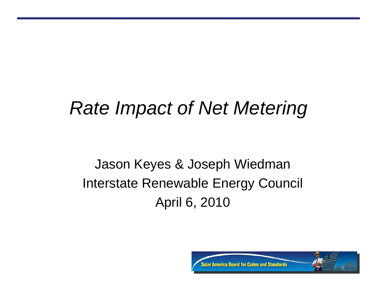#### *Rate Impact of Net Metering*

#### Jason Keyes & Joseph Wiedman Interstate Renewable Energy Council April 6, 2010

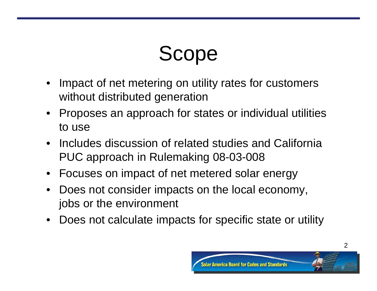# Scope

- $\bullet$  Impact of net metering on utility rates for customers without distributed generation
- Proposes an approach for states or individual utilities to use
- Includes discussion of related studies and California PUC approach in Rulemaking 08-03-008
- Focuses on impact of net metered solar energy
- $\bullet$  Does not consider impacts on the local economy, jobs or the environment
- Does not calculate impacts for specific state or utility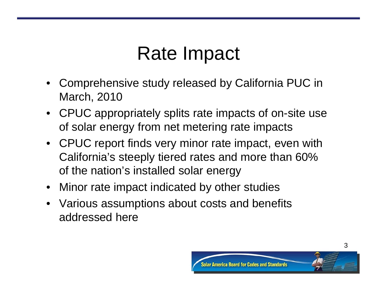### Rate Impact

- Comprehensive study released by California PUC in March, 2010
- CPUC appropriately splits rate impacts of on-site use of solar energy from net metering rate impacts
- CPUC report finds very minor rate impact, even with California's steeply tiered rates and more than 60% of the nation's installed solar energy
- Minor rate impact indicated by other studies
- Various assumptions about costs and benefits addressed here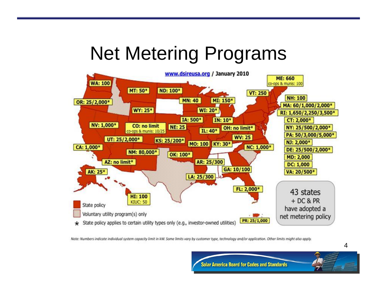### Net Metering Programs



Note: Numbers indicate individual system capacity limit in kW. Some limits vary by customer type, technology and/or application. Other limits might also apply.

**Solar America Board for Codes and Standards**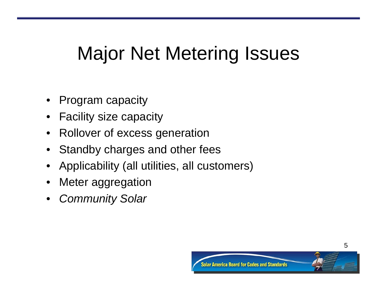## Major Net Metering Issues

- Program capacity
- Facility size capacity
- $\bullet$ Rollover of excess generation
- Standby charges and other fees
- Applicability (all utilities, all customers)
- Meter aggregation
- •*Community Solar*

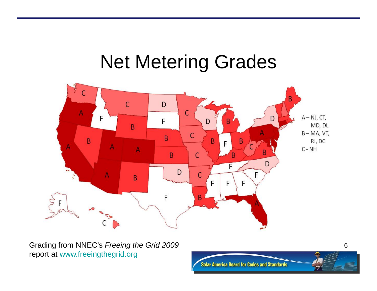#### Net Metering Grades



Grading from NNEC's *Freeing the Grid 2009*  report at [www.freeingthegrid.org](http://www.freeingthegrid.org/)

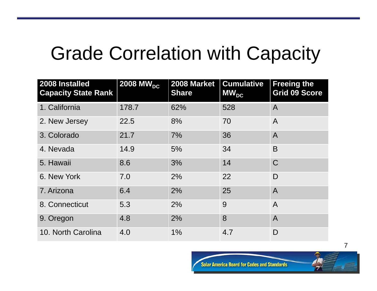### Grade Correlation with Capacity

| 2008 Installed<br><b>Capacity State Rank</b> | 2008 MW <sub>DC</sub> | 2008 Market<br><b>Share</b> | <b>Cumulative</b><br>$MW_{DC}$ | <b>Freeing the</b><br><b>Grid 09 Score</b> |
|----------------------------------------------|-----------------------|-----------------------------|--------------------------------|--------------------------------------------|
| 1. California                                | 178.7                 | 62%                         | 528                            | $\overline{A}$                             |
| 2. New Jersey                                | 22.5                  | 8%                          | 70                             | $\mathsf{A}$                               |
| 3. Colorado                                  | 21.7                  | 7%                          | 36                             | $\overline{A}$                             |
| 4. Nevada                                    | 14.9                  | 5%                          | 34                             | B                                          |
| 5. Hawaii                                    | 8.6                   | 3%                          | 14                             | $\mathsf C$                                |
| 6. New York                                  | 7.0                   | 2%                          | 22                             | D                                          |
| 7. Arizona                                   | 6.4                   | 2%                          | 25                             | $\overline{A}$                             |
| 8. Connecticut                               | 5.3                   | 2%                          | 9                              | $\overline{A}$                             |
| 9. Oregon                                    | 4.8                   | 2%                          | 8                              | $\overline{A}$                             |
| 10. North Carolina                           | 4.0                   | 1%                          | 4.7                            | D                                          |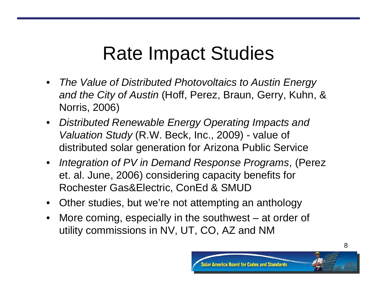## Rate Impact Studies

- • *The Value of Distributed Photovoltaics to Austin Energy and the City of Austin* (Hoff, Perez, Braun, Gerry, Kuhn, & Norris, 2006)
- *Distributed Renewable Energy Operating Impacts and Valuation Study* (R.W. Beck, Inc., 2009) - value of distributed solar generation for Arizona Public Service
- *Integration of PV in Demand Response Programs*, (Perez et. al. June, 2006) considering capacity benefits for Rochester Gas&Electric, ConEd & SMUD
- •Other studies, but we're not attempting an anthology
- $\bullet$  More coming, especially in the southwest – at order of utility commissions in NV, UT, CO, AZ and NM

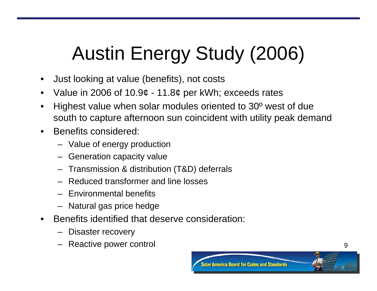# Austin Energy Study (2006)

- •Just looking at value (benefits), not costs
- •Value in 2006 of 10.9¢ - 11.8¢ per kWh; exceeds rates
- • Highest value when solar modules oriented to 30º west of due south to capture afternoon sun coincident with utility peak demand
- • Benefits considered:
	- Value of energy production
	- Generation capacity value
	- Transmission & distribution (T&D) deferrals
	- Reduced transformer and line losses
	- Environmental benefits
	- Natural gas price hedge
- • Benefits identified that deserve consideration:
	- Disaster recovery
	- Reactive power control

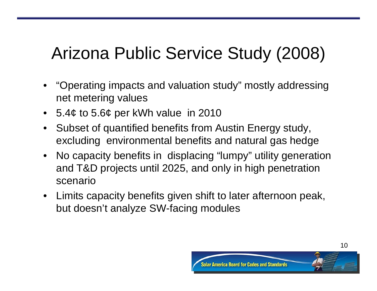#### Arizona Public Service Study (2008)

- $\bullet$  "Operating impacts and valuation study" mostly addressing net metering values
- •5.4¢ to 5.6¢ per kWh value in 2010
- $\bullet$  Subset of quantified benefits from Austin Energy study, excluding environmental benefits and natural gas hedge
- $\bullet$  No capacity benefits in displacing "lumpy" utility generation and T&D projects until 2025, and only in high penetration scenario
- $\bullet$  Limits capacity benefits given shift to later afternoon peak, but doesn't analyze SW-facing modules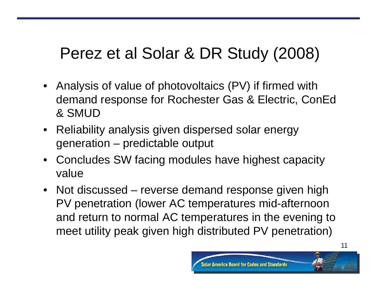#### Perez et al Solar & DR Study (2008)

- Analysis of value of photovoltaics (PV) if firmed with demand response for Rochester Gas & Electric, ConEd & SMUD
- $\bullet$  Reliability analysis given dispersed solar energy generation – predictable output
- • Concludes SW facing modules have highest capacity value
- Not discussed reverse demand response given high PV penetration (lower AC temperatures mid-afternoon and return to normal AC temperatures in the evening to meet utility peak given high distributed PV penetration)

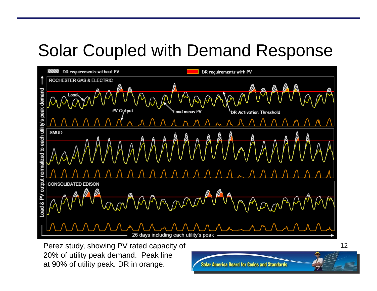#### Solar Coupled with Demand Response



Perez study, showing PV rated capacity of 20% of utility peak demand. Peak line at 90% of utility peak. DR in orange.

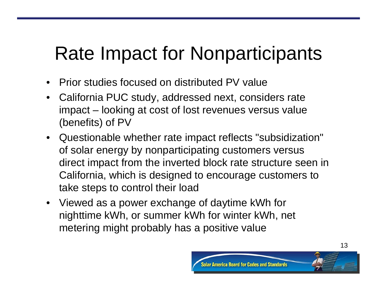## Rate Impact for Nonparticipants

- $\bullet$ Prior studies focused on distributed PV value
- $\bullet$  California PUC study, addressed next, considers rate impact – looking at cost of lost revenues versus value (benefits) of PV
- Questionable whether rate impact reflects "subsidization" of solar energy by nonparticipating customers versus direct impact from the inverted block rate structure seen in California, which is designed to encourage customers to take steps to control their load
- Viewed as a power exchange of daytime kWh for nighttime kWh, or summer kWh for winter kWh, net metering might probably has a positive value

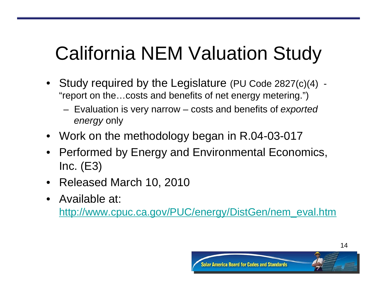# California NEM Valuation Study

- Study required by the Legislature (PU Code 2827(c)(4) "report on the…costs and benefits of net energy metering.")
	- Evaluation is very narrow costs and benefits of *exported energy* only
- Work on the methodology began in R.04-03-017
- Performed by Energy and Environmental Economics,  $Inc. (E3)$
- Released March 10, 2010
- Available at:

[http://www.cpuc.ca.gov/PUC/energy/DistGen/nem\\_eval.htm](http://www.cpuc.ca.gov/PUC/energy/DistGen/nem_eval.htm)

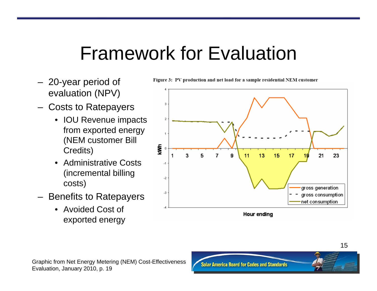## Framework for Evaluation

- 20-year period of evaluation (NPV)
- Costs to Ratepayers
	- IOU Revenue impacts from exported energy (NEM customer Bill Credits)
	- • Administrative Costs (incremental billing costs)
- Benefits to Ratepayers
	- Avoided Cost of exported energy

Figure 3: PV production and net load for a sample residential NEM customer



Graphic from Net Energy Metering (NEM) Cost-Effectiveness Evaluation, January 2010, p. 19

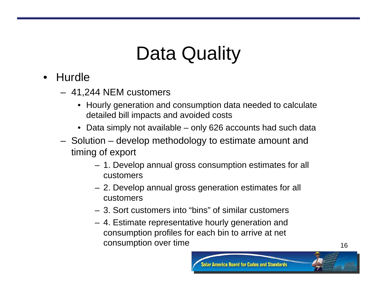## Data Quality

- Hurdle
	- 41,244 NEM customers
		- Hourly generation and consumption data needed to calculate detailed bill impacts and avoided costs
		- Data simply not available only 626 accounts had such data
	- Solution develop methodology to estimate amount and timing of export
		- 1. Develop annual gross consumption estimates for all customers
		- 2. Develop annual gross generation estimates for all customers
		- 3. Sort customers into "bins" of similar customers
		- 4. Estimate representative hourly generation and consumption profiles for each bin to arrive at net consumption over time and the state of the 16 months of the 16 months of the 16 months of the 16 months of the 16  $\pm$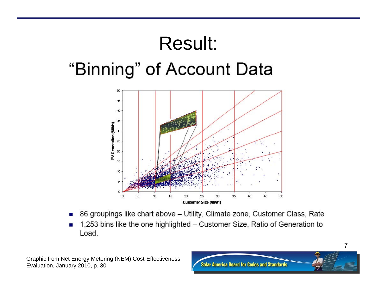## Result: "Binning" of Account Data



- 86 groupings like chart above Utility, Climate zone, Customer Class, Rate
- 1,253 bins like the one highlighted Customer Size, Ratio of Generation to Load.

Graphic from Net Energy Metering (NEM) Cost-Effectiveness Evaluation, January 2010, p. 30

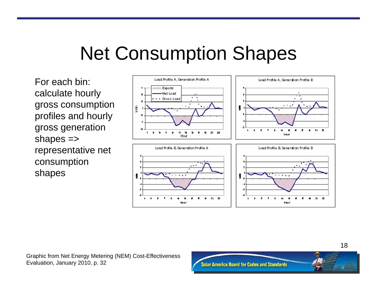## Net Consumption Shapes

For each bin: calculate hourly gross consumption profiles and hourly gross generation shapes => representative net consumption shapes



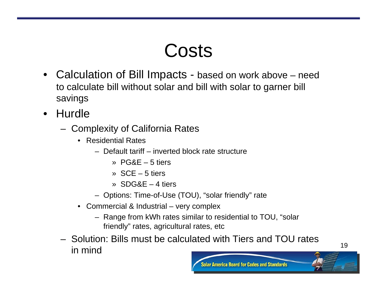#### Costs

- Calculation of Bill Impacts based on work above need to calculate bill without solar and bill with solar to garner bill savings
- • Hurdle
	- Complexity of California Rates
		- Residential Rates
			- Default tariff inverted block rate structure
				- » PG&E 5 tiers
				- » SCE 5 tiers
				- » SDG&E 4 tiers
			- Options: Time-of-Use (TOU), "solar friendly" rate
		- Commercial & Industrial very complex
			- Range from kWh rates similar to residential to TOU, "solar friendly" rates, agricultural rates, etc
	- Solution: Bills must be calculated with Tiers and TOU rates in mind $\sim$  19

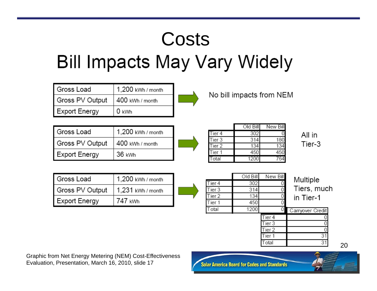## **Costs Bill Impacts May Vary Widely**

| Gross Load<br>Gross PV Output<br><b>Export Energy</b> | 1,200 kWh / month<br>400 kWh / month<br>0 kWh |                  | No bill impacts from NEM |                   |                  |
|-------------------------------------------------------|-----------------------------------------------|------------------|--------------------------|-------------------|------------------|
|                                                       |                                               |                  |                          |                   |                  |
| Gross Load                                            | 1,200 kWh / month                             |                  | Old Bill                 | New Bill          |                  |
|                                                       |                                               | Tier 4<br>Tier 3 | 302<br>314               | 180               | All in           |
| Gross PV Output                                       | 400 kWh / month                               | Tier 2           | 134                      | 134               | Tier-3           |
| <b>Export Energy</b>                                  | 36 kWh                                        | Tier 1           | 450                      | 450               |                  |
|                                                       |                                               | Total            | 1200                     | 764               |                  |
| Gross Load                                            | 1,200 kWh / month                             |                  | Old Bill                 | New Bill          | Multiple         |
|                                                       |                                               | Tier 4           | 302                      |                   | Tiers, mud       |
| Gross PV Output                                       | 1,231 kWh / month                             | Tier 3<br>Tier 2 | 314<br>134               |                   |                  |
| <b>Export Energy</b>                                  | 747 kWh                                       | Tier 1           | 450                      |                   | in Tier-1        |
|                                                       |                                               | Total            | 1200                     | 0                 | Carryover Credit |
|                                                       |                                               |                  |                          | Tier <sub>4</sub> | 0                |

Tiers, much

 $31$ 

 $31$ 

Graphic from Net Energy Metering (NEM) Cost-Effectiveness Evaluation, Presentation, March 16, 2010, slide 17



Tier 3 Tier<sub>2</sub>

Tier 1

Total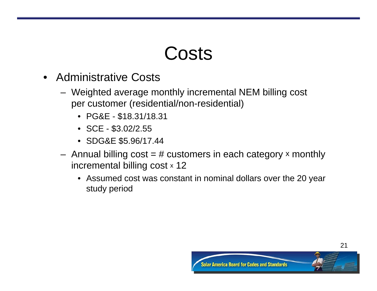#### **Costs**

- Administrative Costs
	- Weighted average monthly incremental NEM billing cost per customer (residential/non-residential)
		- PG&E \$18.31/18.31
		- SCE \$3.02/2.55
		- SDG&E \$5.96/17.44
	- $-$  Annual billing  $\text{cost} = \#$  customers in each category  $\times$  monthly incremental billing cost x 12
		- Assumed cost was constant in nominal dollars over the 20 year study period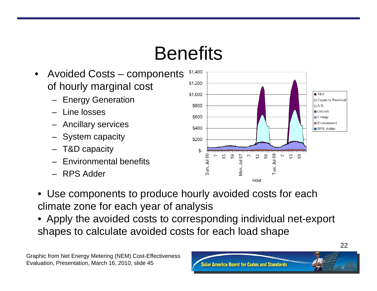## **Benefits**

- • Avoided Costs – components of hourly marginal cost
	- Energy Generation
	- Line losses
	- –Ancillary services
	- System capacity
	- –T&D capacity
	- –Environmental benefits
	- RPS Adder



- Use components to produce hourly avoided costs for each climate zone for each year of analysis
- Apply the avoided costs to corresponding individual net-export shapes to calculate avoided costs for each load shape

Graphic from Net Energy Metering (NEM) Cost-Effectiveness Evaluation, Presentation, March 16, 2010, slide 45

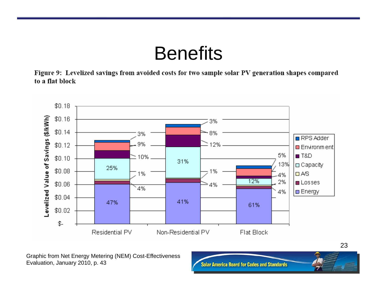#### **Benefits**

Figure 9: Levelized savings from avoided costs for two sample solar PV generation shapes compared to a flat block



Graphic from Net Energy Metering (NEM) Cost-Effectiveness Evaluation, January 2010, p. 43

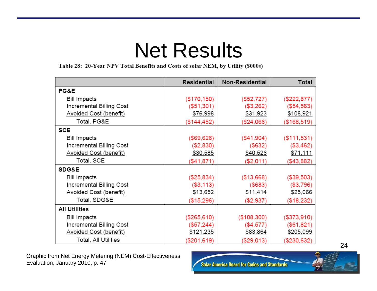## Net Results

Table 28: 20-Year NPV Total Benefits and Costs of solar NEM, by Utility (\$000s)

|                               | Residential  | Non-Residential | Total         |
|-------------------------------|--------------|-----------------|---------------|
| PG&E                          |              |                 |               |
| <b>Bill Impacts</b>           | (\$170, 150) | (\$52,727)      | (\$222, 877)  |
| Incremental Billing Cost      | (\$51,301)   | (\$3,262)       | ( \$54, 563)  |
| Avoided Cost (benefit)        | \$76,998     | \$31,923        | \$108,921     |
| Total, PG&E                   | (\$144,452)  | (\$24,066)      | (\$168,519)   |
| <b>SCE</b>                    |              |                 |               |
| <b>Bill Impacts</b>           | (\$69,626)   | (\$41,904)      | ( \$111, 531) |
| Incremental Billing Cost      | (\$2,830)    | (\$632)         | (\$3,462)     |
| <b>Avoided Cost (benefit)</b> | \$30,585     | \$40,526        | \$71,111      |
| Total, SCE                    | (\$41,871)   | (\$2,011)       | (\$43,882)    |
| <b>SDG&amp;E</b>              |              |                 |               |
| <b>Bill Impacts</b>           | (\$25,834)   | (\$13,668)      | (\$39,503)    |
| Incremental Billing Cost      | ( \$3, 113)  | (\$683)         | (\$3,796)     |
| Avoided Cost (benefit)        | \$13,652     | \$11,414        | \$25,066      |
| Total, SDG&E                  | (\$15,296)   | (\$2,937)       | (\$18,232)    |
| <b>All Utilities</b>          |              |                 |               |
| <b>Bill Impacts</b>           | (\$265,610)  | (\$108,300)     | (\$373,910)   |
| Incremental Billing Cost      | (\$57,244)   | $(\$4,577)$     | (\$61,821)    |
| Avoided Cost (benefit)        | \$121,235    | \$83,864        | \$205,099     |
| Total, All Utilities          | (\$201,619)  | (\$29,013)      | (\$230,632)   |

Graphic from Net Energy Metering (NEM) Cost-Effectiveness Evaluation, January 2010, p. 47

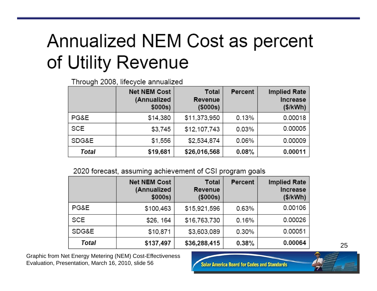#### Annualized NEM Cost as percent of Utility Revenue

Through 2008, lifecycle annualized

|            | <b>Net NEM Cost</b><br>(Annualized<br>\$000s) | Total<br>Revenue<br>$($ \$000s $)$ | Percent | <b>Implied Rate</b><br>Increase<br>(\$/kWh) |
|------------|-----------------------------------------------|------------------------------------|---------|---------------------------------------------|
| PG&E       | \$14,380                                      | \$11,373,950                       | 0.13%   | 0.00018                                     |
| <b>SCE</b> | \$3,745                                       | \$12,107,743                       | 0.03%   | 0.00005                                     |
| SDG&E      | \$1,556                                       | \$2,534,874                        | 0.06%   | 0.00009                                     |
| Total      | \$19,681                                      | \$26,016,568                       | 0.08%   | 0.00011                                     |

2020 forecast, assuming achievement of CSI program goals

|            | <b>Net NEM Cost</b><br>(Annualized<br>\$000s) | <b>Total</b><br>Revenue<br>(\$000s) | Percent | <b>Implied Rate</b><br><b>Increase</b><br>(\$/kWh) |
|------------|-----------------------------------------------|-------------------------------------|---------|----------------------------------------------------|
| PG&E       | \$100,463                                     | \$15,921,596                        | 0.63%   | 0.00106                                            |
| <b>SCE</b> | \$26, 164                                     | \$16,763,730                        | 0.16%   | 0.00026                                            |
| SDG&E      | \$10,871                                      | \$3,603,089                         | 0.30%   | 0.00051                                            |
| Total      | \$137,497                                     | \$36,288,415                        | 0.38%   | 0.00064                                            |

Graphic from Net Energy Metering (NEM) Cost-Effectiveness Evaluation, Presentation, March 16, 2010, slide 56

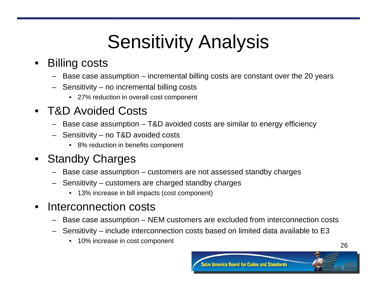# Sensitivity Analysis

#### •Billing costs

- Base case assumption incremental billing costs are constant over the 20 years
- Sensitivity no incremental billing costs
	- 27% reduction in overall cost component

#### •T&D Avoided Costs

- –Base case assumption – T&D avoided costs are similar to energy efficiency
- Sensitivity no T&D avoided costs
	- 8% reduction in benefits component

#### •Standby Charges

- –Base case assumption – customers are not assessed standby charges
- – Sensitivity – customers are charged standby charges
	- 13% increase in bill impacts (cost component)

#### •Interconnection costs

- –Base case assumption – NEM customers are excluded from interconnection costs
- Sensitivity include interconnection costs based on limited data available to E3
	- 10% increase in cost component <sup>26</sup>

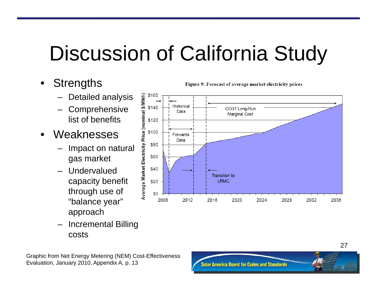# Discussion of California Study

2012

\$20

\$0 2008

- $\bullet$ **Strengths** 
	- Detailed analysis
	- **Comprehensive** list of benefits
- • Weaknesses
	- Impact on natural gas market
	- Undervalued capacity benefit through use of "balance year" approach
	- Incremental Billing costs



2020

**LRMC** 

2016

Figure 9: Forecast of average market electricity prices



2024

2032

2036

2028

Graphic from Net Energy Metering (NEM) Cost-Effectiveness Evaluation, January 2010, Appendix A, p. 13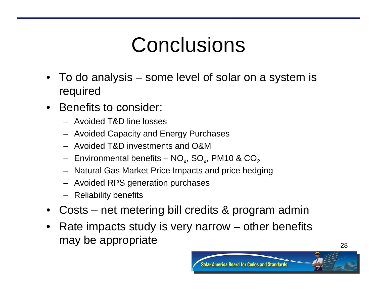# Conclusions

- To do analysis some level of solar on a system is required
- $\bullet$  Benefits to consider:
	- Avoided T&D line losses
	- Avoided Capacity and Energy Purchases
	- Avoided T&D investments and O&M
	- $-$  Environmental benefits NO $_{\sf x}$ , SO $_{\sf x}$ , PM10 & CO $_{\sf 2}$
	- Natural Gas Market Price Impacts and price hedging
	- Avoided RPS generation purchases
	- Reliability benefits
- Costs net metering bill credits & program admin
- $\bullet$  Rate impacts study is very narrow – other benefits may be appropriate  $28$